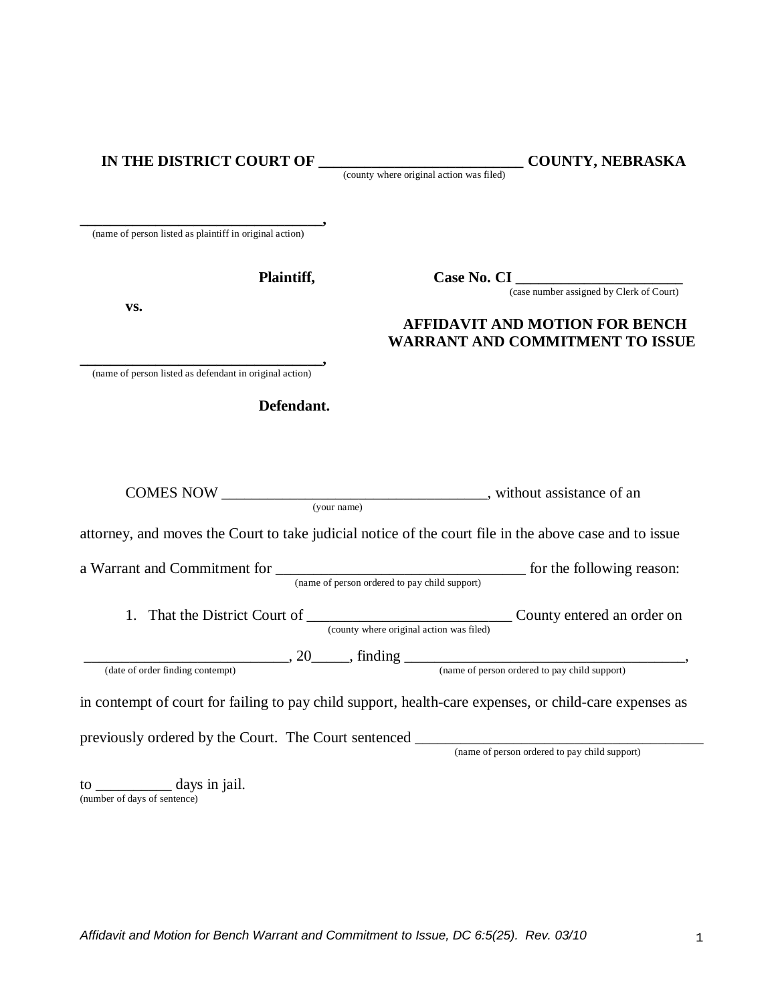|  |  |  | IN THE DISTRICT COURT OF |  |
|--|--|--|--------------------------|--|
|--|--|--|--------------------------|--|

 $\_$  **COUNTY, NEBRASKA** 

(county where original action was filed)

**\_\_\_\_\_\_\_\_\_\_\_\_\_\_\_\_\_\_\_\_\_\_\_\_\_\_\_\_\_\_\_\_,** (name of person listed as plaintiff in original action)

 **Plaintiff, Case No. CI \_\_\_\_\_\_\_\_\_\_\_\_\_\_\_\_\_\_\_\_\_\_**

(case number assigned by Clerk of Court)

## **vs. AFFIDAVIT AND MOTION FOR BENCH WARRANT AND COMMITMENT TO ISSUE**

**\_\_\_\_\_\_\_\_\_\_\_\_\_\_\_\_\_\_\_\_\_\_\_\_\_\_\_\_\_\_\_\_,**  (name of person listed as defendant in original action)

 **Defendant.**

| (your name)                                                                                            |                                                                        |
|--------------------------------------------------------------------------------------------------------|------------------------------------------------------------------------|
| attorney, and moves the Court to take judicial notice of the court file in the above case and to issue |                                                                        |
| (name of person ordered to pay child support)                                                          |                                                                        |
| 1.                                                                                                     | County entered an order on<br>(county where original action was filed) |
|                                                                                                        | $\frac{1}{20}$ , 20 $\frac{1}{20}$ , finding $\frac{1}{20}$            |
| (date of order finding contempt)                                                                       | (name of person ordered to pay child support)                          |
| in contempt of court for failing to pay child support, health-care expenses, or child-care expenses as |                                                                        |
| previously ordered by the Court. The Court sentenced                                                   |                                                                        |
|                                                                                                        | (name of person ordered to pay child support)                          |
| $\frac{1}{2}$ days in jail.                                                                            |                                                                        |

(number of days of sentence)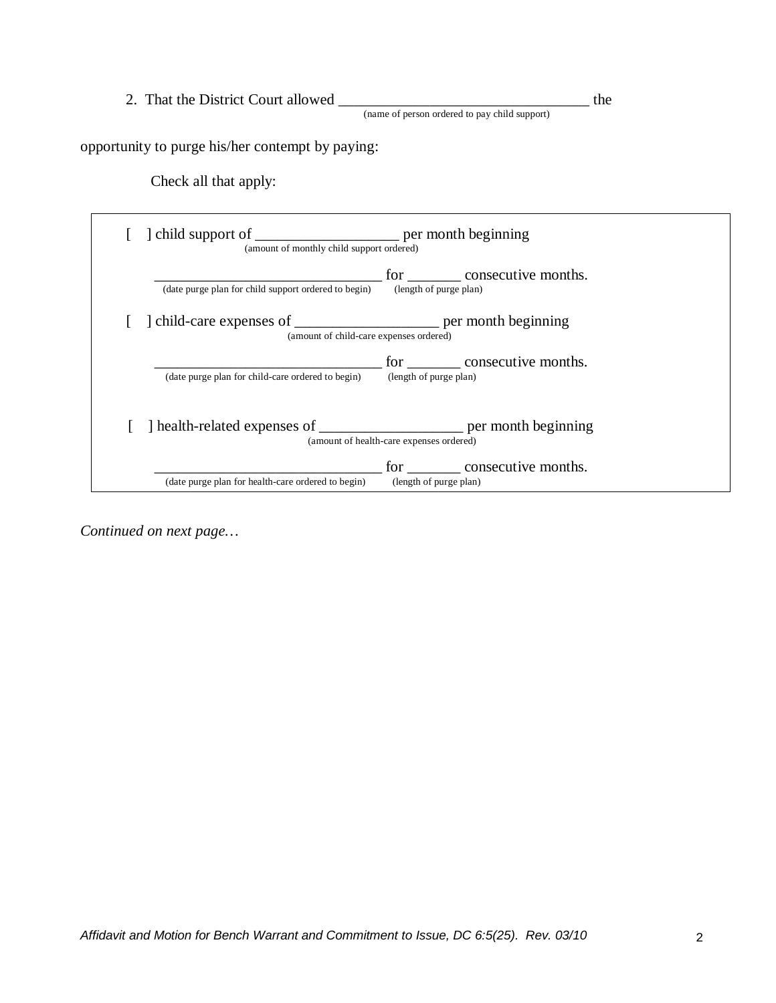2. That the District Court allowed \_\_\_\_\_\_\_\_\_\_\_\_\_\_\_\_\_\_\_\_\_\_\_\_\_\_\_\_\_\_\_\_\_ the

(name of person ordered to pay child support)

opportunity to purge his/her contempt by paying:

Check all that apply:

| (date purge plan for child support ordered to begin)                    | for consecutive months.<br>(length of purge plan) |
|-------------------------------------------------------------------------|---------------------------------------------------|
| (amount of child-care expenses ordered)                                 |                                                   |
| (date purge plan for child-care ordered to begin)                       | for consecutive months.<br>(length of purge plan) |
| health-related expenses of ________________________ per month beginning | (amount of health-care expenses ordered)          |

*Continued on next page…*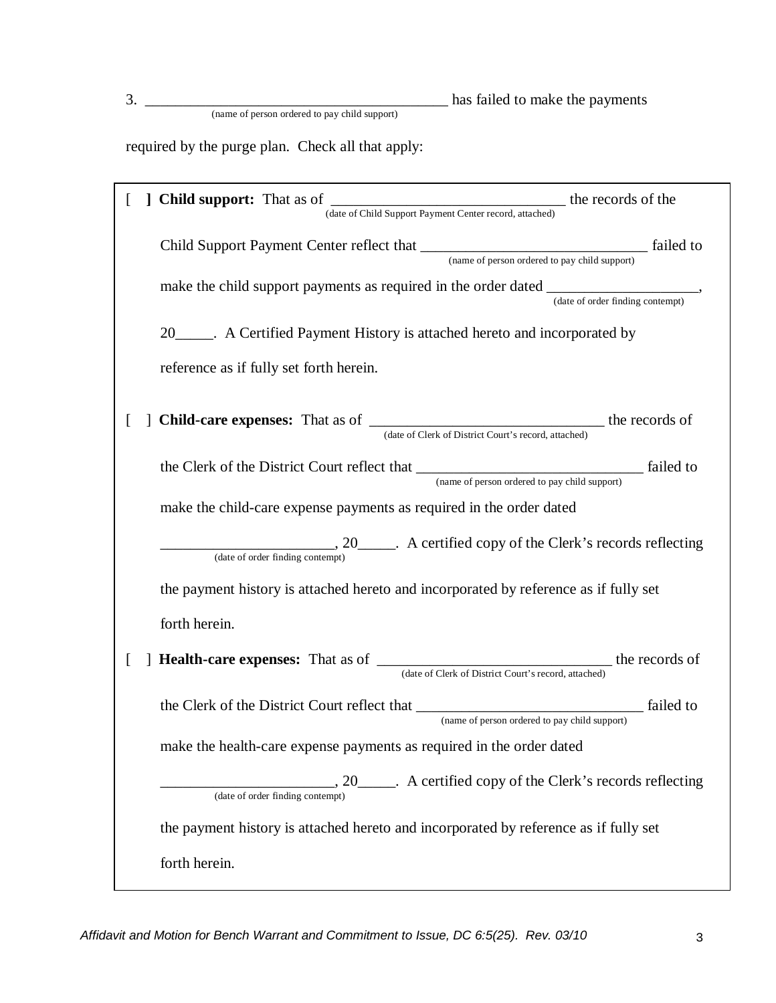3. \_\_\_\_\_\_\_\_\_\_\_\_\_\_\_\_\_\_\_\_\_\_\_\_\_\_\_\_\_\_\_\_\_\_\_\_\_\_\_\_ has failed to make the payments

(name of person ordered to pay child support)

required by the purge plan. Check all that apply:

|                                                                       | ] Child support: That as of<br>(date of Child Support Payment Center record, attached) the records of the                                                                                                                                                                                                                                                                                                                                                       |  |  |
|-----------------------------------------------------------------------|-----------------------------------------------------------------------------------------------------------------------------------------------------------------------------------------------------------------------------------------------------------------------------------------------------------------------------------------------------------------------------------------------------------------------------------------------------------------|--|--|
|                                                                       |                                                                                                                                                                                                                                                                                                                                                                                                                                                                 |  |  |
|                                                                       |                                                                                                                                                                                                                                                                                                                                                                                                                                                                 |  |  |
| 20 A Certified Payment History is attached hereto and incorporated by |                                                                                                                                                                                                                                                                                                                                                                                                                                                                 |  |  |
|                                                                       | reference as if fully set forth herein.                                                                                                                                                                                                                                                                                                                                                                                                                         |  |  |
|                                                                       | ] Child-care expenses: That as of<br>(date of Clerk of District Court's record, attached) the records of                                                                                                                                                                                                                                                                                                                                                        |  |  |
|                                                                       | the Clerk of the District Court reflect that <u>Court of person</u> ordered to pay child support) [failed to                                                                                                                                                                                                                                                                                                                                                    |  |  |
|                                                                       | make the child-care expense payments as required in the order dated                                                                                                                                                                                                                                                                                                                                                                                             |  |  |
|                                                                       | $\frac{1}{(date\ of\ order\ finding\ content)}$ . A certified copy of the Clerk's records reflecting                                                                                                                                                                                                                                                                                                                                                            |  |  |
|                                                                       | the payment history is attached hereto and incorporated by reference as if fully set                                                                                                                                                                                                                                                                                                                                                                            |  |  |
|                                                                       | forth herein.                                                                                                                                                                                                                                                                                                                                                                                                                                                   |  |  |
|                                                                       | <b>Health-care expenses:</b> That as of $\frac{1}{\sqrt{1-\frac{1}{\sqrt{1-\frac{1}{\sqrt{1-\frac{1}{\sqrt{1-\frac{1}{\sqrt{1-\frac{1}{\sqrt{1-\frac{1}{\sqrt{1-\frac{1}{\sqrt{1-\frac{1}{\sqrt{1-\frac{1}{\sqrt{1-\frac{1}{\sqrt{1-\frac{1}{\sqrt{1-\frac{1}{\sqrt{1-\frac{1}{\sqrt{1-\frac{1}{\sqrt{1-\frac{1}{\sqrt{1-\frac{1}{\sqrt{1-\frac{1}{\sqrt{1-\frac{1}{\sqrt{1-\frac{1}{\sqrt{1-\frac{1}{$<br>(date of Clerk of District Court's record, attached) |  |  |
|                                                                       | the Clerk of the District Court reflect that <u>Court of person</u> ordered to pay child support) failed to                                                                                                                                                                                                                                                                                                                                                     |  |  |
|                                                                       | make the health-care expense payments as required in the order dated                                                                                                                                                                                                                                                                                                                                                                                            |  |  |
|                                                                       | ., 20______. A certified copy of the Clerk's records reflecting<br>(date of order finding contempt)                                                                                                                                                                                                                                                                                                                                                             |  |  |
|                                                                       | the payment history is attached hereto and incorporated by reference as if fully set                                                                                                                                                                                                                                                                                                                                                                            |  |  |
|                                                                       | forth herein.                                                                                                                                                                                                                                                                                                                                                                                                                                                   |  |  |

*Affidavit and Motion for Bench Warrant and Commitment to Issue, DC 6:5(25). Rev. 03/10* 3